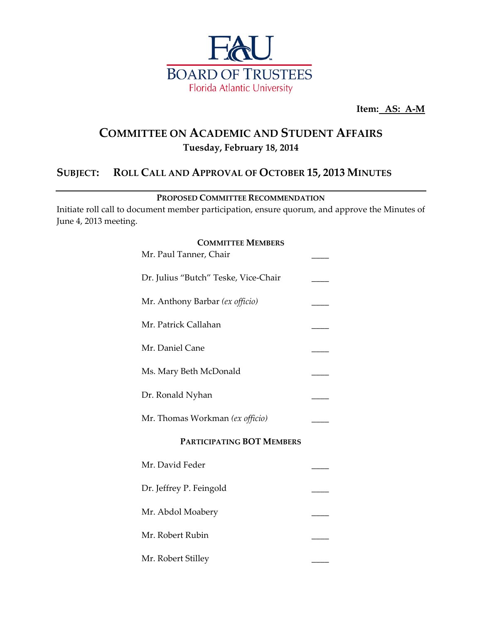

**Item: AS: A-M** 

## **COMMITTEE ON ACADEMIC AND STUDENT AFFAIRS Tuesday, February 18, 2014**

### **SUBJECT: ROLL CALL AND APPROVAL OF OCTOBER 15, 2013 MINUTES**

**PROPOSED COMMITTEE RECOMMENDATION**

Initiate roll call to document member participation, ensure quorum, and approve the Minutes of June 4, 2013 meeting.

# **COMMITTEE MEMBERS** Mr. Paul Tanner, Chair Dr. Julius "Butch" Teske, Vice-Chair Mr. Anthony Barbar (ex officio) Mr. Patrick Callahan Mr. Daniel Cane Ms. Mary Beth McDonald Dr. Ronald Nyhan Mr. Thomas Workman *(ex officio)* **PARTICIPATING BOT MEMBERS** Mr. David Feder Dr. Jeffrey P. Feingold Mr. Abdol Moabery Mr. Robert Rubin Mr. Robert Stilley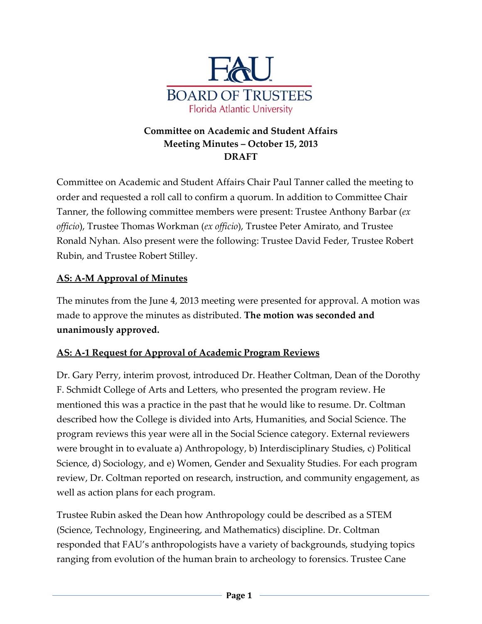

### **Committee on Academic and Student Affairs Meeting Minutes – October 15, 2013 DRAFT**

Committee on Academic and Student Affairs Chair Paul Tanner called the meeting to order and requested a roll call to confirm a quorum. In addition to Committee Chair Tanner, the following committee members were present: Trustee Anthony Barbar (*ex officio*), Trustee Thomas Workman (*ex officio*), Trustee Peter Amirato, and Trustee Ronald Nyhan. Also present were the following: Trustee David Feder, Trustee Robert Rubin, and Trustee Robert Stilley.

#### **AS: A‐M Approval of Minutes**

The minutes from the June 4, 2013 meeting were presented for approval. A motion was made to approve the minutes as distributed. **The motion was seconded and unanimously approved.**

### **AS: A‐1 Request for Approval of Academic Program Reviews**

Dr. Gary Perry, interim provost, introduced Dr. Heather Coltman, Dean of the Dorothy F. Schmidt College of Arts and Letters, who presented the program review. He mentioned this was a practice in the past that he would like to resume. Dr. Coltman described how the College is divided into Arts, Humanities, and Social Science. The program reviews this year were all in the Social Science category. External reviewers were brought in to evaluate a) Anthropology, b) Interdisciplinary Studies, c) Political Science, d) Sociology, and e) Women, Gender and Sexuality Studies. For each program review, Dr. Coltman reported on research, instruction, and community engagement, as well as action plans for each program.

Trustee Rubin asked the Dean how Anthropology could be described as a STEM (Science, Technology, Engineering, and Mathematics) discipline. Dr. Coltman responded that FAU's anthropologists have a variety of backgrounds, studying topics ranging from evolution of the human brain to archeology to forensics. Trustee Cane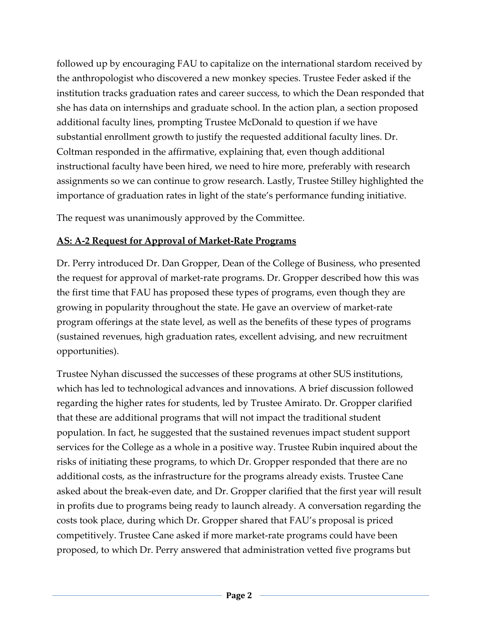followed up by encouraging FAU to capitalize on the international stardom received by the anthropologist who discovered a new monkey species. Trustee Feder asked if the institution tracks graduation rates and career success, to which the Dean responded that she has data on internships and graduate school. In the action plan, a section proposed additional faculty lines, prompting Trustee McDonald to question if we have substantial enrollment growth to justify the requested additional faculty lines. Dr. Coltman responded in the affirmative, explaining that, even though additional instructional faculty have been hired, we need to hire more, preferably with research assignments so we can continue to grow research. Lastly, Trustee Stilley highlighted the importance of graduation rates in light of the state's performance funding initiative.

The request was unanimously approved by the Committee.

#### **AS: A‐2 Request for Approval of Market‐Rate Programs**

Dr. Perry introduced Dr. Dan Gropper, Dean of the College of Business, who presented the request for approval of market‐rate programs. Dr. Gropper described how this was the first time that FAU has proposed these types of programs, even though they are growing in popularity throughout the state. He gave an overview of market‐rate program offerings at the state level, as well as the benefits of these types of programs (sustained revenues, high graduation rates, excellent advising, and new recruitment opportunities).

Trustee Nyhan discussed the successes of these programs at other SUS institutions, which has led to technological advances and innovations. A brief discussion followed regarding the higher rates for students, led by Trustee Amirato. Dr. Gropper clarified that these are additional programs that will not impact the traditional student population. In fact, he suggested that the sustained revenues impact student support services for the College as a whole in a positive way. Trustee Rubin inquired about the risks of initiating these programs, to which Dr. Gropper responded that there are no additional costs, as the infrastructure for the programs already exists. Trustee Cane asked about the break‐even date, and Dr. Gropper clarified that the first year will result in profits due to programs being ready to launch already. A conversation regarding the costs took place, during which Dr. Gropper shared that FAU's proposal is priced competitively. Trustee Cane asked if more market‐rate programs could have been proposed, to which Dr. Perry answered that administration vetted five programs but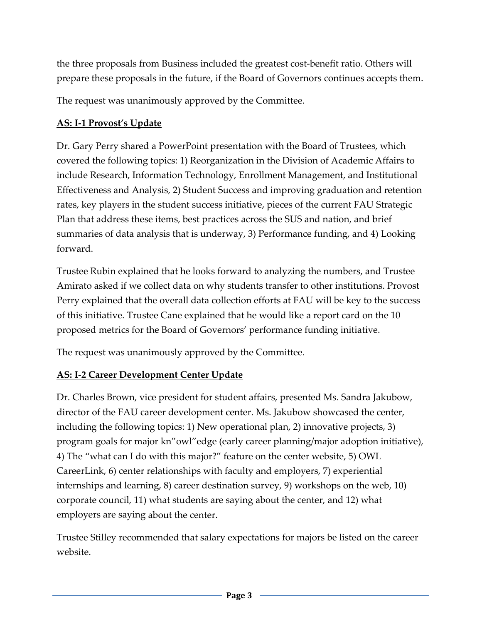the three proposals from Business included the greatest cost‐benefit ratio. Others will prepare these proposals in the future, if the Board of Governors continues accepts them.

The request was unanimously approved by the Committee.

#### **AS: I‐1 Provost's Update**

Dr. Gary Perry shared a PowerPoint presentation with the Board of Trustees, which covered the following topics: 1) Reorganization in the Division of Academic Affairs to include Research, Information Technology, Enrollment Management, and Institutional Effectiveness and Analysis, 2) Student Success and improving graduation and retention rates, key players in the student success initiative, pieces of the current FAU Strategic Plan that address these items, best practices across the SUS and nation, and brief summaries of data analysis that is underway, 3) Performance funding, and 4) Looking forward.

Trustee Rubin explained that he looks forward to analyzing the numbers, and Trustee Amirato asked if we collect data on why students transfer to other institutions. Provost Perry explained that the overall data collection efforts at FAU will be key to the success of this initiative. Trustee Cane explained that he would like a report card on the 10 proposed metrics for the Board of Governors' performance funding initiative.

The request was unanimously approved by the Committee.

### **AS: I‐2 Career Development Center Update**

Dr. Charles Brown, vice president for student affairs, presented Ms. Sandra Jakubow, director of the FAU career development center. Ms. Jakubow showcased the center, including the following topics: 1) New operational plan, 2) innovative projects, 3) program goals for major kn"owl"edge (early career planning/major adoption initiative), 4) The "what can I do with this major?" feature on the center website, 5) OWL CareerLink, 6) center relationships with faculty and employers, 7) experiential internships and learning, 8) career destination survey, 9) workshops on the web, 10) corporate council, 11) what students are saying about the center, and 12) what employers are saying about the center.

Trustee Stilley recommended that salary expectations for majors be listed on the career website.